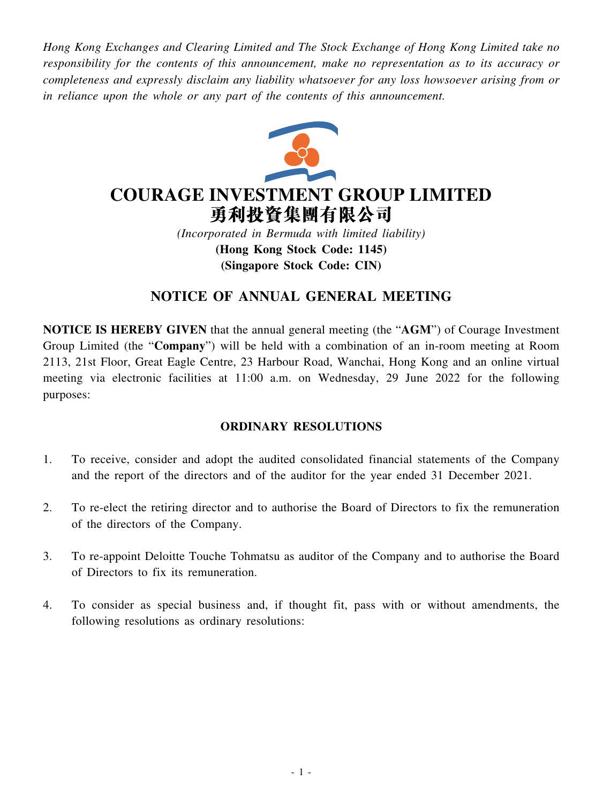*Hong Kong Exchanges and Clearing Limited and The Stock Exchange of Hong Kong Limited take no responsibility for the contents of this announcement, make no representation as to its accuracy or completeness and expressly disclaim any liability whatsoever for any loss howsoever arising from or in reliance upon the whole or any part of the contents of this announcement.*



# **COURAGE INVESTMENT GROUP LIMITED** 勇利投資集團有限公司

*(Incorporated in Bermuda with limited liability)* **(Hong Kong Stock Code: 1145) (Singapore Stock Code: CIN)**

## **NOTICE OF ANNUAL GENERAL MEETING**

**NOTICE IS HEREBY GIVEN** that the annual general meeting (the "**AGM**") of Courage Investment Group Limited (the "**Company**") will be held with a combination of an in-room meeting at Room 2113, 21st Floor, Great Eagle Centre, 23 Harbour Road, Wanchai, Hong Kong and an online virtual meeting via electronic facilities at 11:00 a.m. on Wednesday, 29 June 2022 for the following purposes:

## **ORDINARY RESOLUTIONS**

- 1. To receive, consider and adopt the audited consolidated financial statements of the Company and the report of the directors and of the auditor for the year ended 31 December 2021.
- 2. To re-elect the retiring director and to authorise the Board of Directors to fix the remuneration of the directors of the Company.
- 3. To re-appoint Deloitte Touche Tohmatsu as auditor of the Company and to authorise the Board of Directors to fix its remuneration.
- 4. To consider as special business and, if thought fit, pass with or without amendments, the following resolutions as ordinary resolutions: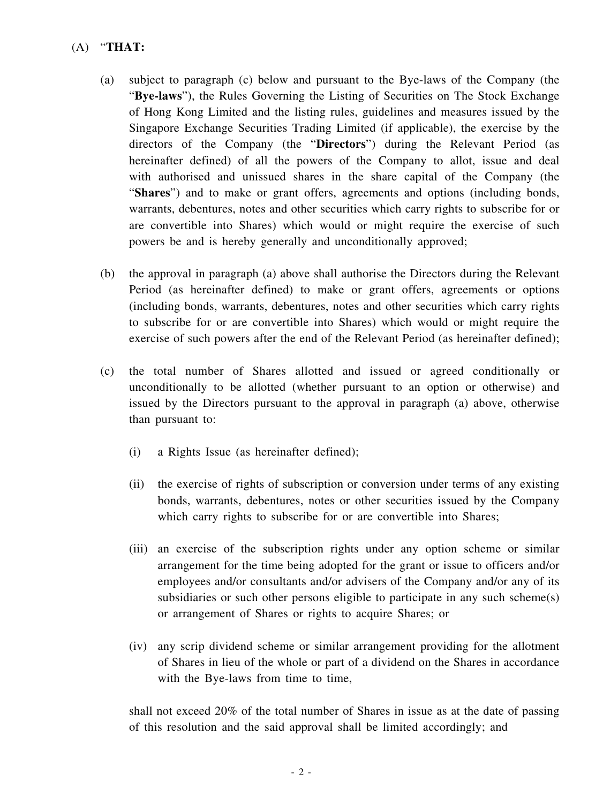- (A) "**THAT:**
	- (a) subject to paragraph (c) below and pursuant to the Bye-laws of the Company (the "**Bye-laws**"), the Rules Governing the Listing of Securities on The Stock Exchange of Hong Kong Limited and the listing rules, guidelines and measures issued by the Singapore Exchange Securities Trading Limited (if applicable), the exercise by the directors of the Company (the "**Directors**") during the Relevant Period (as hereinafter defined) of all the powers of the Company to allot, issue and deal with authorised and unissued shares in the share capital of the Company (the "**Shares**") and to make or grant offers, agreements and options (including bonds, warrants, debentures, notes and other securities which carry rights to subscribe for or are convertible into Shares) which would or might require the exercise of such powers be and is hereby generally and unconditionally approved;
	- (b) the approval in paragraph (a) above shall authorise the Directors during the Relevant Period (as hereinafter defined) to make or grant offers, agreements or options (including bonds, warrants, debentures, notes and other securities which carry rights to subscribe for or are convertible into Shares) which would or might require the exercise of such powers after the end of the Relevant Period (as hereinafter defined);
	- (c) the total number of Shares allotted and issued or agreed conditionally or unconditionally to be allotted (whether pursuant to an option or otherwise) and issued by the Directors pursuant to the approval in paragraph (a) above, otherwise than pursuant to:
		- (i) a Rights Issue (as hereinafter defined);
		- (ii) the exercise of rights of subscription or conversion under terms of any existing bonds, warrants, debentures, notes or other securities issued by the Company which carry rights to subscribe for or are convertible into Shares;
		- (iii) an exercise of the subscription rights under any option scheme or similar arrangement for the time being adopted for the grant or issue to officers and/or employees and/or consultants and/or advisers of the Company and/or any of its subsidiaries or such other persons eligible to participate in any such scheme(s) or arrangement of Shares or rights to acquire Shares; or
		- (iv) any scrip dividend scheme or similar arrangement providing for the allotment of Shares in lieu of the whole or part of a dividend on the Shares in accordance with the Bye-laws from time to time,

shall not exceed 20% of the total number of Shares in issue as at the date of passing of this resolution and the said approval shall be limited accordingly; and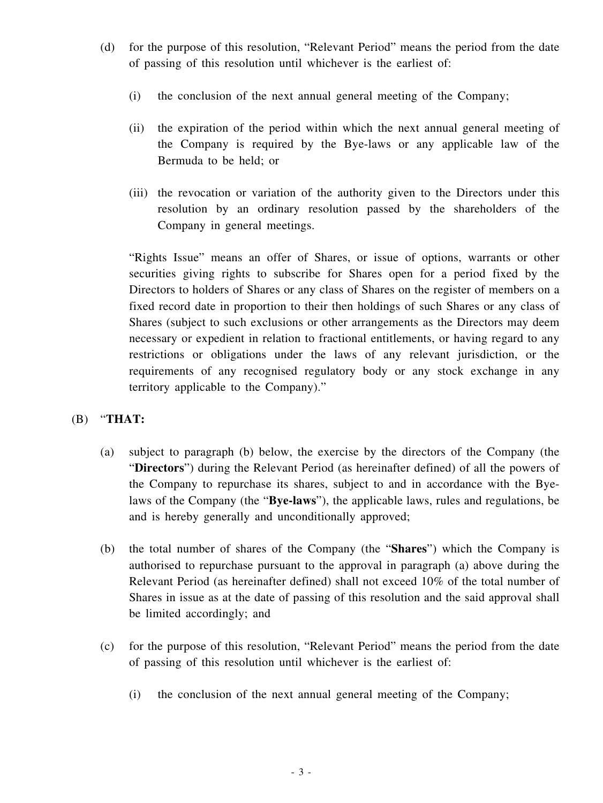- (d) for the purpose of this resolution, "Relevant Period" means the period from the date of passing of this resolution until whichever is the earliest of:
	- (i) the conclusion of the next annual general meeting of the Company;
	- (ii) the expiration of the period within which the next annual general meeting of the Company is required by the Bye-laws or any applicable law of the Bermuda to be held; or
	- (iii) the revocation or variation of the authority given to the Directors under this resolution by an ordinary resolution passed by the shareholders of the Company in general meetings.

"Rights Issue" means an offer of Shares, or issue of options, warrants or other securities giving rights to subscribe for Shares open for a period fixed by the Directors to holders of Shares or any class of Shares on the register of members on a fixed record date in proportion to their then holdings of such Shares or any class of Shares (subject to such exclusions or other arrangements as the Directors may deem necessary or expedient in relation to fractional entitlements, or having regard to any restrictions or obligations under the laws of any relevant jurisdiction, or the requirements of any recognised regulatory body or any stock exchange in any territory applicable to the Company)."

## (B) "**THAT:**

- (a) subject to paragraph (b) below, the exercise by the directors of the Company (the "**Directors**") during the Relevant Period (as hereinafter defined) of all the powers of the Company to repurchase its shares, subject to and in accordance with the Byelaws of the Company (the "**Bye-laws**"), the applicable laws, rules and regulations, be and is hereby generally and unconditionally approved;
- (b) the total number of shares of the Company (the "**Shares**") which the Company is authorised to repurchase pursuant to the approval in paragraph (a) above during the Relevant Period (as hereinafter defined) shall not exceed 10% of the total number of Shares in issue as at the date of passing of this resolution and the said approval shall be limited accordingly; and
- (c) for the purpose of this resolution, "Relevant Period" means the period from the date of passing of this resolution until whichever is the earliest of:
	- (i) the conclusion of the next annual general meeting of the Company;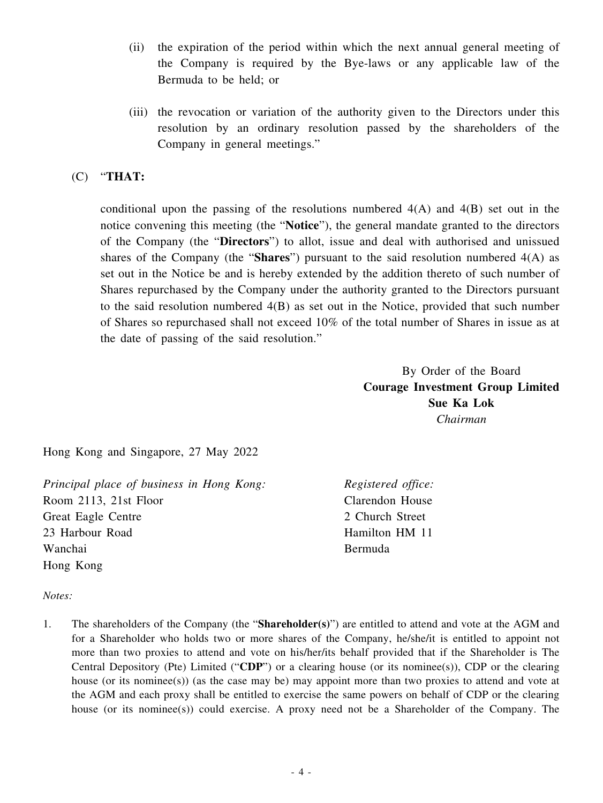- (ii) the expiration of the period within which the next annual general meeting of the Company is required by the Bye-laws or any applicable law of the Bermuda to be held; or
- (iii) the revocation or variation of the authority given to the Directors under this resolution by an ordinary resolution passed by the shareholders of the Company in general meetings."

## (C) "**THAT:**

conditional upon the passing of the resolutions numbered  $4(A)$  and  $4(B)$  set out in the notice convening this meeting (the "**Notice**"), the general mandate granted to the directors of the Company (the "**Directors**") to allot, issue and deal with authorised and unissued shares of the Company (the "**Shares**") pursuant to the said resolution numbered 4(A) as set out in the Notice be and is hereby extended by the addition thereto of such number of Shares repurchased by the Company under the authority granted to the Directors pursuant to the said resolution numbered 4(B) as set out in the Notice, provided that such number of Shares so repurchased shall not exceed 10% of the total number of Shares in issue as at the date of passing of the said resolution."

> By Order of the Board **Courage Investment Group Limited Sue Ka Lok** *Chairman*

Hong Kong and Singapore, 27 May 2022

*Principal place of business in Hong Kong:* Room 2113, 21st Floor Great Eagle Centre 23 Harbour Road Wanchai Hong Kong

*Registered office:* Clarendon House 2 Church Street Hamilton HM 11 Bermuda

#### *Notes:*

1. The shareholders of the Company (the "**Shareholder(s)**") are entitled to attend and vote at the AGM and for a Shareholder who holds two or more shares of the Company, he/she/it is entitled to appoint not more than two proxies to attend and vote on his/her/its behalf provided that if the Shareholder is The Central Depository (Pte) Limited ("**CDP**") or a clearing house (or its nominee(s)), CDP or the clearing house (or its nominee(s)) (as the case may be) may appoint more than two proxies to attend and vote at the AGM and each proxy shall be entitled to exercise the same powers on behalf of CDP or the clearing house (or its nominee(s)) could exercise. A proxy need not be a Shareholder of the Company. The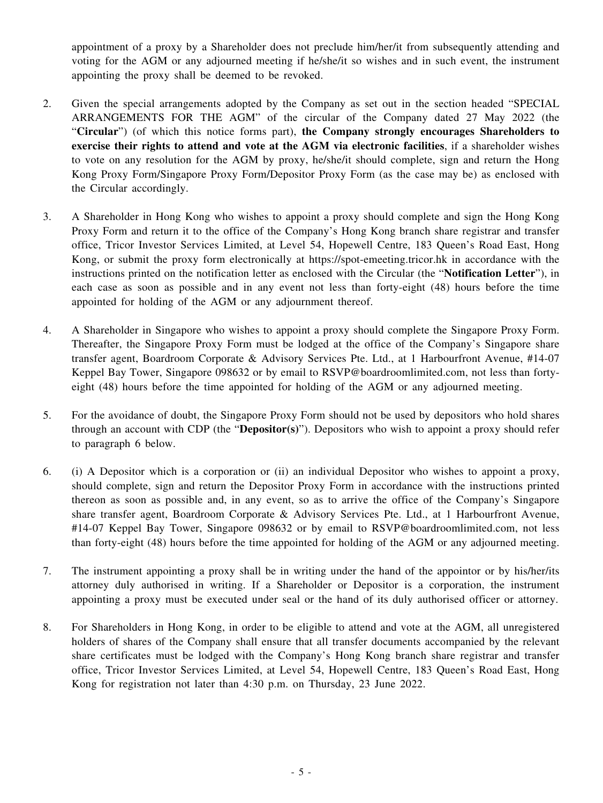appointment of a proxy by a Shareholder does not preclude him/her/it from subsequently attending and voting for the AGM or any adjourned meeting if he/she/it so wishes and in such event, the instrument appointing the proxy shall be deemed to be revoked.

- 2. Given the special arrangements adopted by the Company as set out in the section headed "SPECIAL ARRANGEMENTS FOR THE AGM" of the circular of the Company dated 27 May 2022 (the "**Circular**") (of which this notice forms part), **the Company strongly encourages Shareholders to exercise their rights to attend and vote at the AGM via electronic facilities**, if a shareholder wishes to vote on any resolution for the AGM by proxy, he/she/it should complete, sign and return the Hong Kong Proxy Form/Singapore Proxy Form/Depositor Proxy Form (as the case may be) as enclosed with the Circular accordingly.
- 3. A Shareholder in Hong Kong who wishes to appoint a proxy should complete and sign the Hong Kong Proxy Form and return it to the office of the Company's Hong Kong branch share registrar and transfer office, Tricor Investor Services Limited, at Level 54, Hopewell Centre, 183 Queen's Road East, Hong Kong, or submit the proxy form electronically at https://spot-emeeting.tricor.hk in accordance with the instructions printed on the notification letter as enclosed with the Circular (the "**Notification Letter**"), in each case as soon as possible and in any event not less than forty-eight (48) hours before the time appointed for holding of the AGM or any adjournment thereof.
- 4. A Shareholder in Singapore who wishes to appoint a proxy should complete the Singapore Proxy Form. Thereafter, the Singapore Proxy Form must be lodged at the office of the Company's Singapore share transfer agent, Boardroom Corporate & Advisory Services Pte. Ltd., at 1 Harbourfront Avenue, #14-07 Keppel Bay Tower, Singapore 098632 or by email to RSVP@boardroomlimited.com, not less than fortyeight (48) hours before the time appointed for holding of the AGM or any adjourned meeting.
- 5. For the avoidance of doubt, the Singapore Proxy Form should not be used by depositors who hold shares through an account with CDP (the "**Depositor(s)**"). Depositors who wish to appoint a proxy should refer to paragraph 6 below.
- 6. (i) A Depositor which is a corporation or (ii) an individual Depositor who wishes to appoint a proxy, should complete, sign and return the Depositor Proxy Form in accordance with the instructions printed thereon as soon as possible and, in any event, so as to arrive the office of the Company's Singapore share transfer agent, Boardroom Corporate & Advisory Services Pte. Ltd., at 1 Harbourfront Avenue, #14-07 Keppel Bay Tower, Singapore 098632 or by email to RSVP@boardroomlimited.com, not less than forty-eight (48) hours before the time appointed for holding of the AGM or any adjourned meeting.
- 7. The instrument appointing a proxy shall be in writing under the hand of the appointor or by his/her/its attorney duly authorised in writing. If a Shareholder or Depositor is a corporation, the instrument appointing a proxy must be executed under seal or the hand of its duly authorised officer or attorney.
- 8. For Shareholders in Hong Kong, in order to be eligible to attend and vote at the AGM, all unregistered holders of shares of the Company shall ensure that all transfer documents accompanied by the relevant share certificates must be lodged with the Company's Hong Kong branch share registrar and transfer office, Tricor Investor Services Limited, at Level 54, Hopewell Centre, 183 Queen's Road East, Hong Kong for registration not later than 4:30 p.m. on Thursday, 23 June 2022.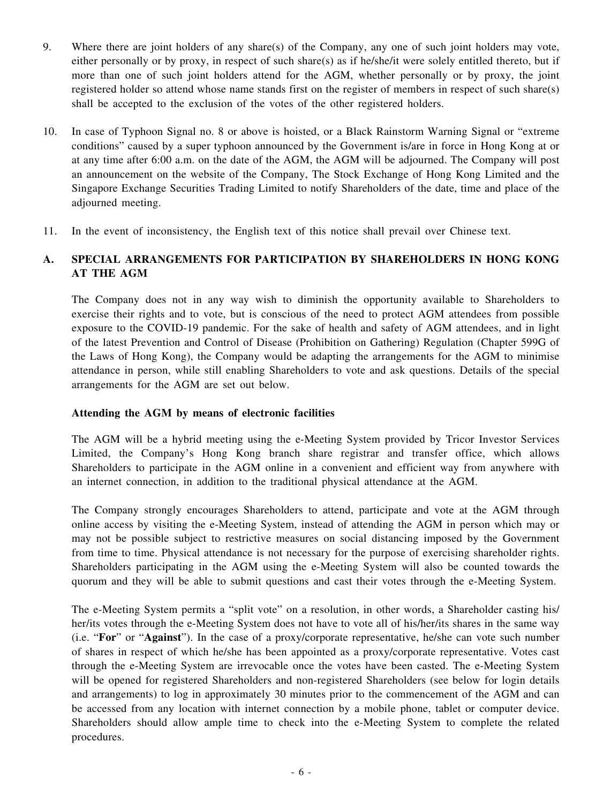- 9. Where there are joint holders of any share(s) of the Company, any one of such joint holders may vote, either personally or by proxy, in respect of such share(s) as if he/she/it were solely entitled thereto, but if more than one of such joint holders attend for the AGM, whether personally or by proxy, the joint registered holder so attend whose name stands first on the register of members in respect of such share(s) shall be accepted to the exclusion of the votes of the other registered holders.
- 10. In case of Typhoon Signal no. 8 or above is hoisted, or a Black Rainstorm Warning Signal or "extreme conditions" caused by a super typhoon announced by the Government is/are in force in Hong Kong at or at any time after 6:00 a.m. on the date of the AGM, the AGM will be adjourned. The Company will post an announcement on the website of the Company, The Stock Exchange of Hong Kong Limited and the Singapore Exchange Securities Trading Limited to notify Shareholders of the date, time and place of the adjourned meeting.
- 11. In the event of inconsistency, the English text of this notice shall prevail over Chinese text.

## **A. SPECIAL ARRANGEMENTS FOR PARTICIPATION BY SHAREHOLDERS IN HONG KONG AT THE AGM**

The Company does not in any way wish to diminish the opportunity available to Shareholders to exercise their rights and to vote, but is conscious of the need to protect AGM attendees from possible exposure to the COVID-19 pandemic. For the sake of health and safety of AGM attendees, and in light of the latest Prevention and Control of Disease (Prohibition on Gathering) Regulation (Chapter 599G of the Laws of Hong Kong), the Company would be adapting the arrangements for the AGM to minimise attendance in person, while still enabling Shareholders to vote and ask questions. Details of the special arrangements for the AGM are set out below.

## **Attending the AGM by means of electronic facilities**

The AGM will be a hybrid meeting using the e-Meeting System provided by Tricor Investor Services Limited, the Company's Hong Kong branch share registrar and transfer office, which allows Shareholders to participate in the AGM online in a convenient and efficient way from anywhere with an internet connection, in addition to the traditional physical attendance at the AGM.

The Company strongly encourages Shareholders to attend, participate and vote at the AGM through online access by visiting the e-Meeting System, instead of attending the AGM in person which may or may not be possible subject to restrictive measures on social distancing imposed by the Government from time to time. Physical attendance is not necessary for the purpose of exercising shareholder rights. Shareholders participating in the AGM using the e-Meeting System will also be counted towards the quorum and they will be able to submit questions and cast their votes through the e-Meeting System.

The e-Meeting System permits a "split vote" on a resolution, in other words, a Shareholder casting his/ her/its votes through the e-Meeting System does not have to vote all of his/her/its shares in the same way (i.e. "**For**" or "**Against**"). In the case of a proxy/corporate representative, he/she can vote such number of shares in respect of which he/she has been appointed as a proxy/corporate representative. Votes cast through the e-Meeting System are irrevocable once the votes have been casted. The e-Meeting System will be opened for registered Shareholders and non-registered Shareholders (see below for login details and arrangements) to log in approximately 30 minutes prior to the commencement of the AGM and can be accessed from any location with internet connection by a mobile phone, tablet or computer device. Shareholders should allow ample time to check into the e-Meeting System to complete the related procedures.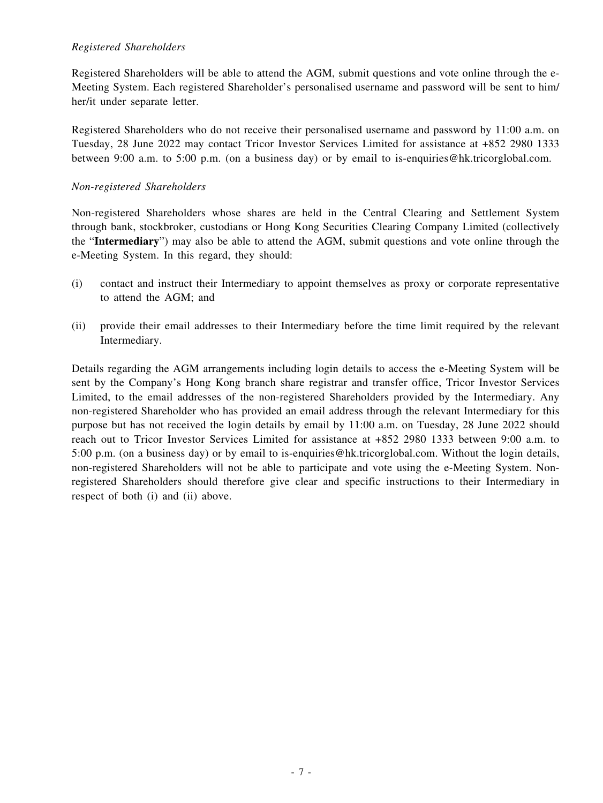#### *Registered Shareholders*

Registered Shareholders will be able to attend the AGM, submit questions and vote online through the e-Meeting System. Each registered Shareholder's personalised username and password will be sent to him/ her/it under separate letter.

Registered Shareholders who do not receive their personalised username and password by 11:00 a.m. on Tuesday, 28 June 2022 may contact Tricor Investor Services Limited for assistance at +852 2980 1333 between 9:00 a.m. to 5:00 p.m. (on a business day) or by email to is-enquiries@hk.tricorglobal.com.

#### *Non-registered Shareholders*

Non-registered Shareholders whose shares are held in the Central Clearing and Settlement System through bank, stockbroker, custodians or Hong Kong Securities Clearing Company Limited (collectively the "**Intermediary**") may also be able to attend the AGM, submit questions and vote online through the e-Meeting System. In this regard, they should:

- (i) contact and instruct their Intermediary to appoint themselves as proxy or corporate representative to attend the AGM; and
- (ii) provide their email addresses to their Intermediary before the time limit required by the relevant Intermediary.

Details regarding the AGM arrangements including login details to access the e-Meeting System will be sent by the Company's Hong Kong branch share registrar and transfer office, Tricor Investor Services Limited, to the email addresses of the non-registered Shareholders provided by the Intermediary. Any non-registered Shareholder who has provided an email address through the relevant Intermediary for this purpose but has not received the login details by email by 11:00 a.m. on Tuesday, 28 June 2022 should reach out to Tricor Investor Services Limited for assistance at +852 2980 1333 between 9:00 a.m. to 5:00 p.m. (on a business day) or by email to is-enquiries@hk.tricorglobal.com. Without the login details, non-registered Shareholders will not be able to participate and vote using the e-Meeting System. Nonregistered Shareholders should therefore give clear and specific instructions to their Intermediary in respect of both (i) and (ii) above.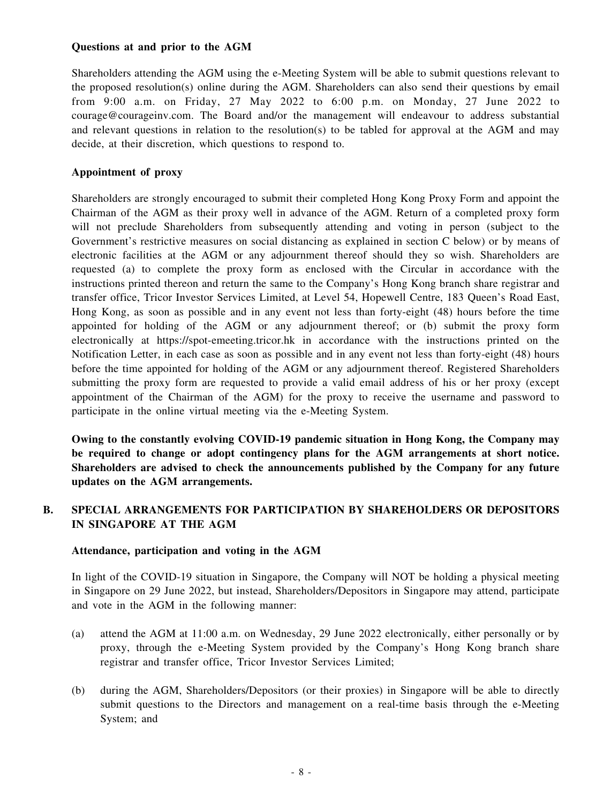#### **Questions at and prior to the AGM**

Shareholders attending the AGM using the e-Meeting System will be able to submit questions relevant to the proposed resolution(s) online during the AGM. Shareholders can also send their questions by email from 9:00 a.m. on Friday, 27 May 2022 to 6:00 p.m. on Monday, 27 June 2022 to courage@courageinv.com. The Board and/or the management will endeavour to address substantial and relevant questions in relation to the resolution(s) to be tabled for approval at the AGM and may decide, at their discretion, which questions to respond to.

#### **Appointment of proxy**

Shareholders are strongly encouraged to submit their completed Hong Kong Proxy Form and appoint the Chairman of the AGM as their proxy well in advance of the AGM. Return of a completed proxy form will not preclude Shareholders from subsequently attending and voting in person (subject to the Government's restrictive measures on social distancing as explained in section C below) or by means of electronic facilities at the AGM or any adjournment thereof should they so wish. Shareholders are requested (a) to complete the proxy form as enclosed with the Circular in accordance with the instructions printed thereon and return the same to the Company's Hong Kong branch share registrar and transfer office, Tricor Investor Services Limited, at Level 54, Hopewell Centre, 183 Queen's Road East, Hong Kong, as soon as possible and in any event not less than forty-eight (48) hours before the time appointed for holding of the AGM or any adjournment thereof; or (b) submit the proxy form electronically at https://spot-emeeting.tricor.hk in accordance with the instructions printed on the Notification Letter, in each case as soon as possible and in any event not less than forty-eight (48) hours before the time appointed for holding of the AGM or any adjournment thereof. Registered Shareholders submitting the proxy form are requested to provide a valid email address of his or her proxy (except appointment of the Chairman of the AGM) for the proxy to receive the username and password to participate in the online virtual meeting via the e-Meeting System.

**Owing to the constantly evolving COVID-19 pandemic situation in Hong Kong, the Company may be required to change or adopt contingency plans for the AGM arrangements at short notice. Shareholders are advised to check the announcements published by the Company for any future updates on the AGM arrangements.**

### **B. SPECIAL ARRANGEMENTS FOR PARTICIPATION BY SHAREHOLDERS OR DEPOSITORS IN SINGAPORE AT THE AGM**

#### **Attendance, participation and voting in the AGM**

In light of the COVID-19 situation in Singapore, the Company will NOT be holding a physical meeting in Singapore on 29 June 2022, but instead, Shareholders/Depositors in Singapore may attend, participate and vote in the AGM in the following manner:

- (a) attend the AGM at 11:00 a.m. on Wednesday, 29 June 2022 electronically, either personally or by proxy, through the e-Meeting System provided by the Company's Hong Kong branch share registrar and transfer office, Tricor Investor Services Limited;
- (b) during the AGM, Shareholders/Depositors (or their proxies) in Singapore will be able to directly submit questions to the Directors and management on a real-time basis through the e-Meeting System; and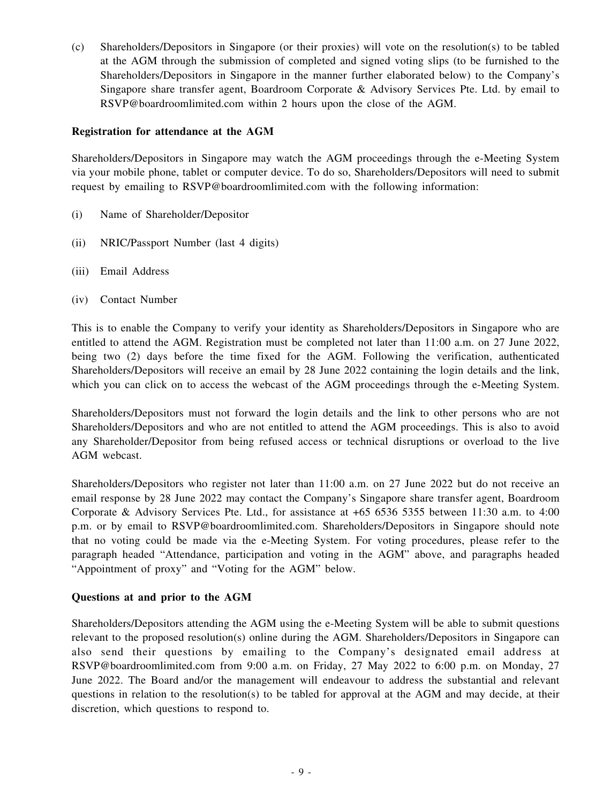(c) Shareholders/Depositors in Singapore (or their proxies) will vote on the resolution(s) to be tabled at the AGM through the submission of completed and signed voting slips (to be furnished to the Shareholders/Depositors in Singapore in the manner further elaborated below) to the Company's Singapore share transfer agent, Boardroom Corporate & Advisory Services Pte. Ltd. by email to RSVP@boardroomlimited.com within 2 hours upon the close of the AGM.

#### **Registration for attendance at the AGM**

Shareholders/Depositors in Singapore may watch the AGM proceedings through the e-Meeting System via your mobile phone, tablet or computer device. To do so, Shareholders/Depositors will need to submit request by emailing to RSVP@boardroomlimited.com with the following information:

- (i) Name of Shareholder/Depositor
- (ii) NRIC/Passport Number (last 4 digits)
- (iii) Email Address
- (iv) Contact Number

This is to enable the Company to verify your identity as Shareholders/Depositors in Singapore who are entitled to attend the AGM. Registration must be completed not later than 11:00 a.m. on 27 June 2022, being two (2) days before the time fixed for the AGM. Following the verification, authenticated Shareholders/Depositors will receive an email by 28 June 2022 containing the login details and the link, which you can click on to access the webcast of the AGM proceedings through the e-Meeting System.

Shareholders/Depositors must not forward the login details and the link to other persons who are not Shareholders/Depositors and who are not entitled to attend the AGM proceedings. This is also to avoid any Shareholder/Depositor from being refused access or technical disruptions or overload to the live AGM webcast.

Shareholders/Depositors who register not later than 11:00 a.m. on 27 June 2022 but do not receive an email response by 28 June 2022 may contact the Company's Singapore share transfer agent, Boardroom Corporate & Advisory Services Pte. Ltd., for assistance at +65 6536 5355 between 11:30 a.m. to 4:00 p.m. or by email to RSVP@boardroomlimited.com. Shareholders/Depositors in Singapore should note that no voting could be made via the e-Meeting System. For voting procedures, please refer to the paragraph headed "Attendance, participation and voting in the AGM" above, and paragraphs headed "Appointment of proxy" and "Voting for the AGM" below.

#### **Questions at and prior to the AGM**

Shareholders/Depositors attending the AGM using the e-Meeting System will be able to submit questions relevant to the proposed resolution(s) online during the AGM. Shareholders/Depositors in Singapore can also send their questions by emailing to the Company's designated email address at RSVP@boardroomlimited.com from 9:00 a.m. on Friday, 27 May 2022 to 6:00 p.m. on Monday, 27 June 2022. The Board and/or the management will endeavour to address the substantial and relevant questions in relation to the resolution(s) to be tabled for approval at the AGM and may decide, at their discretion, which questions to respond to.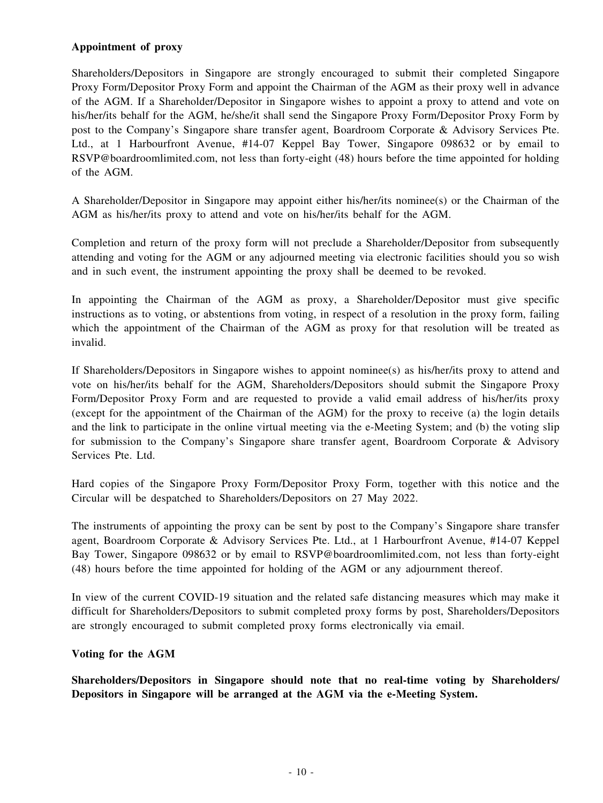#### **Appointment of proxy**

Shareholders/Depositors in Singapore are strongly encouraged to submit their completed Singapore Proxy Form/Depositor Proxy Form and appoint the Chairman of the AGM as their proxy well in advance of the AGM. If a Shareholder/Depositor in Singapore wishes to appoint a proxy to attend and vote on his/her/its behalf for the AGM, he/she/it shall send the Singapore Proxy Form/Depositor Proxy Form by post to the Company's Singapore share transfer agent, Boardroom Corporate & Advisory Services Pte. Ltd., at 1 Harbourfront Avenue, #14-07 Keppel Bay Tower, Singapore 098632 or by email to RSVP@boardroomlimited.com, not less than forty-eight (48) hours before the time appointed for holding of the AGM.

A Shareholder/Depositor in Singapore may appoint either his/her/its nominee(s) or the Chairman of the AGM as his/her/its proxy to attend and vote on his/her/its behalf for the AGM.

Completion and return of the proxy form will not preclude a Shareholder/Depositor from subsequently attending and voting for the AGM or any adjourned meeting via electronic facilities should you so wish and in such event, the instrument appointing the proxy shall be deemed to be revoked.

In appointing the Chairman of the AGM as proxy, a Shareholder/Depositor must give specific instructions as to voting, or abstentions from voting, in respect of a resolution in the proxy form, failing which the appointment of the Chairman of the AGM as proxy for that resolution will be treated as invalid.

If Shareholders/Depositors in Singapore wishes to appoint nominee(s) as his/her/its proxy to attend and vote on his/her/its behalf for the AGM, Shareholders/Depositors should submit the Singapore Proxy Form/Depositor Proxy Form and are requested to provide a valid email address of his/her/its proxy (except for the appointment of the Chairman of the AGM) for the proxy to receive (a) the login details and the link to participate in the online virtual meeting via the e-Meeting System; and (b) the voting slip for submission to the Company's Singapore share transfer agent, Boardroom Corporate & Advisory Services Pte. Ltd.

Hard copies of the Singapore Proxy Form/Depositor Proxy Form, together with this notice and the Circular will be despatched to Shareholders/Depositors on 27 May 2022.

The instruments of appointing the proxy can be sent by post to the Company's Singapore share transfer agent, Boardroom Corporate & Advisory Services Pte. Ltd., at 1 Harbourfront Avenue, #14-07 Keppel Bay Tower, Singapore 098632 or by email to RSVP@boardroomlimited.com, not less than forty-eight (48) hours before the time appointed for holding of the AGM or any adjournment thereof.

In view of the current COVID-19 situation and the related safe distancing measures which may make it difficult for Shareholders/Depositors to submit completed proxy forms by post, Shareholders/Depositors are strongly encouraged to submit completed proxy forms electronically via email.

#### **Voting for the AGM**

**Shareholders/Depositors in Singapore should note that no real-time voting by Shareholders/ Depositors in Singapore will be arranged at the AGM via the e-Meeting System.**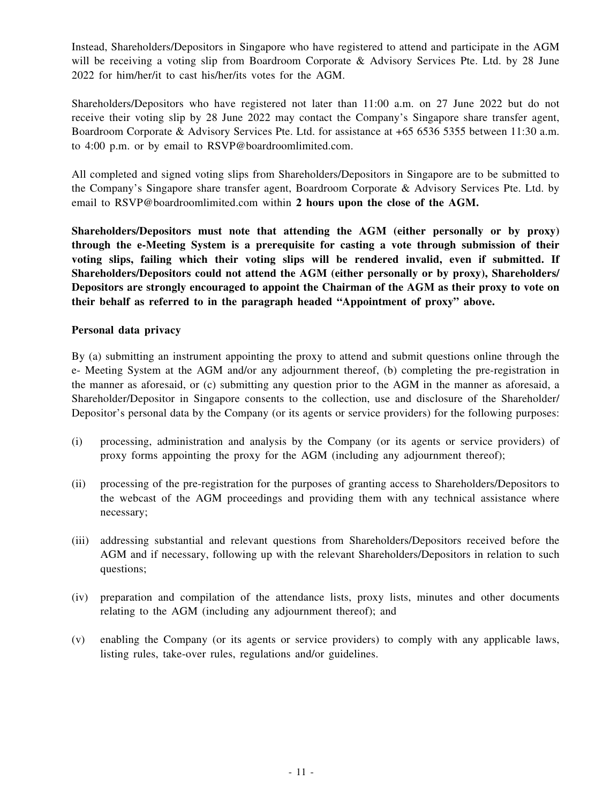Instead, Shareholders/Depositors in Singapore who have registered to attend and participate in the AGM will be receiving a voting slip from Boardroom Corporate & Advisory Services Pte. Ltd. by 28 June 2022 for him/her/it to cast his/her/its votes for the AGM.

Shareholders/Depositors who have registered not later than 11:00 a.m. on 27 June 2022 but do not receive their voting slip by 28 June 2022 may contact the Company's Singapore share transfer agent, Boardroom Corporate & Advisory Services Pte. Ltd. for assistance at +65 6536 5355 between 11:30 a.m. to 4:00 p.m. or by email to RSVP@boardroomlimited.com.

All completed and signed voting slips from Shareholders/Depositors in Singapore are to be submitted to the Company's Singapore share transfer agent, Boardroom Corporate & Advisory Services Pte. Ltd. by email to RSVP@boardroomlimited.com within **2 hours upon the close of the AGM.**

**Shareholders/Depositors must note that attending the AGM (either personally or by proxy) through the e-Meeting System is a prerequisite for casting a vote through submission of their voting slips, failing which their voting slips will be rendered invalid, even if submitted. If Shareholders/Depositors could not attend the AGM (either personally or by proxy), Shareholders/ Depositors are strongly encouraged to appoint the Chairman of the AGM as their proxy to vote on their behalf as referred to in the paragraph headed "Appointment of proxy" above.**

#### **Personal data privacy**

By (a) submitting an instrument appointing the proxy to attend and submit questions online through the e- Meeting System at the AGM and/or any adjournment thereof, (b) completing the pre-registration in the manner as aforesaid, or (c) submitting any question prior to the AGM in the manner as aforesaid, a Shareholder/Depositor in Singapore consents to the collection, use and disclosure of the Shareholder/ Depositor's personal data by the Company (or its agents or service providers) for the following purposes:

- (i) processing, administration and analysis by the Company (or its agents or service providers) of proxy forms appointing the proxy for the AGM (including any adjournment thereof);
- (ii) processing of the pre-registration for the purposes of granting access to Shareholders/Depositors to the webcast of the AGM proceedings and providing them with any technical assistance where necessary;
- (iii) addressing substantial and relevant questions from Shareholders/Depositors received before the AGM and if necessary, following up with the relevant Shareholders/Depositors in relation to such questions;
- (iv) preparation and compilation of the attendance lists, proxy lists, minutes and other documents relating to the AGM (including any adjournment thereof); and
- (v) enabling the Company (or its agents or service providers) to comply with any applicable laws, listing rules, take-over rules, regulations and/or guidelines.